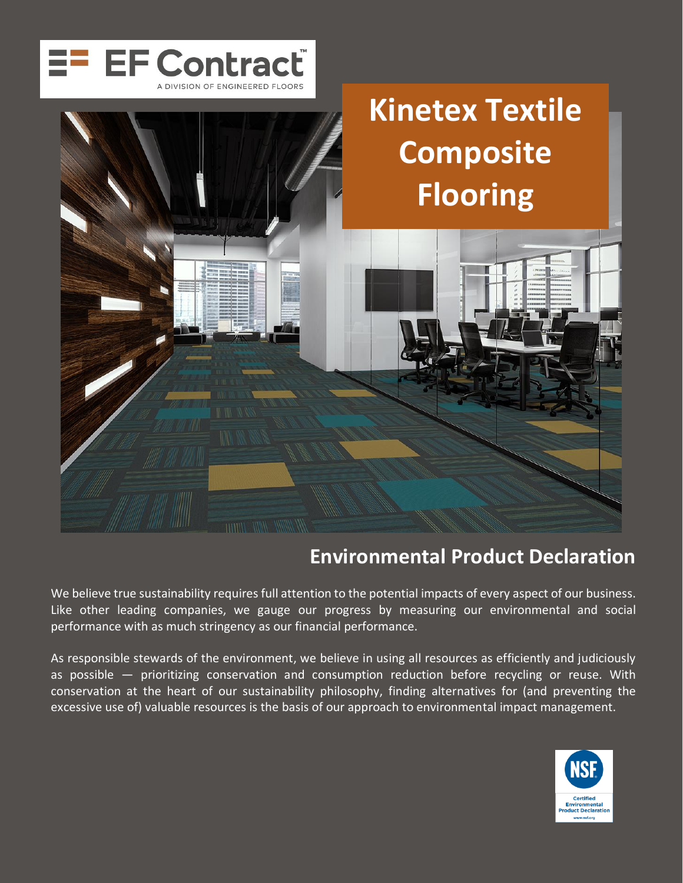

# **Kinetex Textile Composite Flooring**

# **Environmental Product Declaration**

We believe true sustainability requires full attention to the potential impacts of every aspect of our business. Like other leading companies, we gauge our progress by measuring our environmental and social performance with as much stringency as our financial performance.

As responsible stewards of the environment, we believe in using all resources as efficiently and judiciously as possible — prioritizing conservation and consumption reduction before recycling or reuse. With conservation at the heart of our sustainability philosophy, finding alternatives for (and preventing the excessive use of) valuable resources is the basis of our approach to environmental impact management.

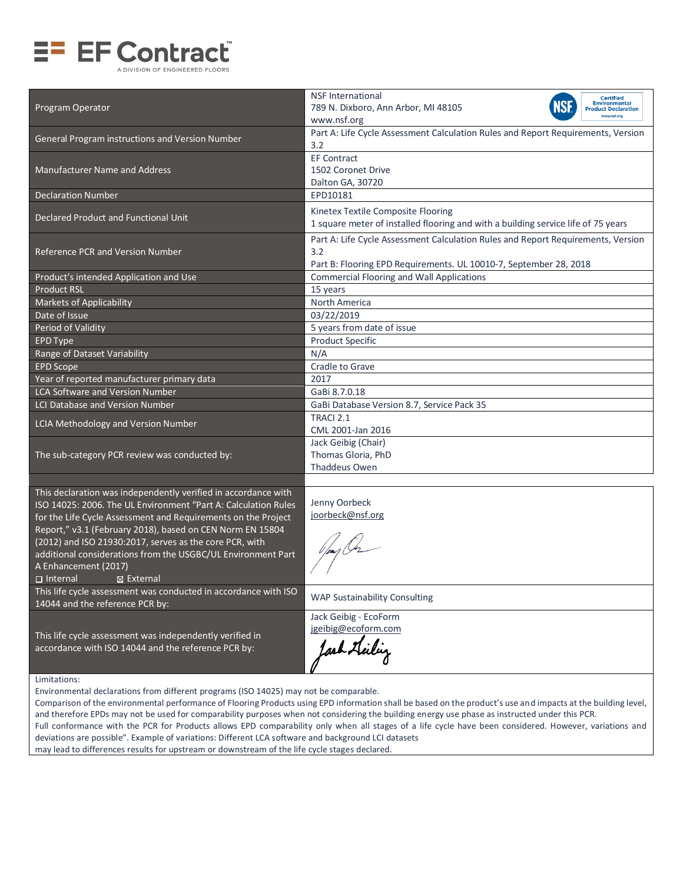

| Program Operator                                                                                                                | <b>NSF International</b><br>Certified<br><b>Environmental</b><br><b>NSF</b><br>789 N. Dixboro, Ann Arbor, MI 48105<br><b>Product Declaration</b><br>www.nsf.org<br>www.nsf.org |
|---------------------------------------------------------------------------------------------------------------------------------|--------------------------------------------------------------------------------------------------------------------------------------------------------------------------------|
| General Program instructions and Version Number                                                                                 | Part A: Life Cycle Assessment Calculation Rules and Report Requirements, Version<br>3.2                                                                                        |
| <b>Manufacturer Name and Address</b>                                                                                            | <b>EF Contract</b><br>1502 Coronet Drive<br>Dalton GA, 30720                                                                                                                   |
| <b>Declaration Number</b>                                                                                                       | EPD10181                                                                                                                                                                       |
| Declared Product and Functional Unit                                                                                            | Kinetex Textile Composite Flooring<br>1 square meter of installed flooring and with a building service life of 75 years                                                        |
| Reference PCR and Version Number                                                                                                | Part A: Life Cycle Assessment Calculation Rules and Report Requirements, Version<br>3.2<br>Part B: Flooring EPD Requirements. UL 10010-7, September 28, 2018                   |
| Product's intended Application and Use                                                                                          | <b>Commercial Flooring and Wall Applications</b>                                                                                                                               |
| <b>Product RSL</b>                                                                                                              | 15 years                                                                                                                                                                       |
| <b>Markets of Applicability</b>                                                                                                 | North America                                                                                                                                                                  |
| Date of Issue                                                                                                                   | 03/22/2019                                                                                                                                                                     |
| Period of Validity                                                                                                              | 5 years from date of issue                                                                                                                                                     |
| <b>EPD Type</b>                                                                                                                 | <b>Product Specific</b>                                                                                                                                                        |
| Range of Dataset Variability                                                                                                    | N/A                                                                                                                                                                            |
| <b>EPD Scope</b>                                                                                                                | Cradle to Grave                                                                                                                                                                |
| Year of reported manufacturer primary data                                                                                      | 2017                                                                                                                                                                           |
| <b>LCA Software and Version Number</b>                                                                                          | GaBi 8.7.0.18                                                                                                                                                                  |
| LCI Database and Version Number                                                                                                 | GaBi Database Version 8.7, Service Pack 35                                                                                                                                     |
| LCIA Methodology and Version Number                                                                                             | TRACI 2.1<br>CML 2001-Jan 2016                                                                                                                                                 |
| The sub-category PCR review was conducted by:                                                                                   | Jack Geibig (Chair)<br>Thomas Gloria, PhD<br>Thaddeus Owen                                                                                                                     |
|                                                                                                                                 |                                                                                                                                                                                |
| This declaration was independently verified in accordance with                                                                  | Jenny Oorbeck                                                                                                                                                                  |
| ISO 14025: 2006. The UL Environment "Part A: Calculation Rules<br>for the Life Cycle Assessment and Requirements on the Project | joorbeck@nsf.org                                                                                                                                                               |
| Report," v3.1 (February 2018), based on CEN Norm EN 15804                                                                       |                                                                                                                                                                                |
| (2012) and ISO 21930:2017, serves as the core PCR, with                                                                         |                                                                                                                                                                                |
| additional considerations from the USGBC/UL Environment Part                                                                    |                                                                                                                                                                                |
| A Enhancement (2017)                                                                                                            |                                                                                                                                                                                |
| $\Box$ Internal<br>⊠ External                                                                                                   |                                                                                                                                                                                |
| This life cycle assessment was conducted in accordance with ISO<br>14044 and the reference PCR by:                              | <b>WAP Sustainability Consulting</b>                                                                                                                                           |
|                                                                                                                                 | Jack Geibig - EcoForm                                                                                                                                                          |
|                                                                                                                                 | jgeibig@ecoform.com                                                                                                                                                            |
| This life cycle assessment was independently verified in<br>accordance with ISO 14044 and the reference PCR by:                 |                                                                                                                                                                                |
|                                                                                                                                 |                                                                                                                                                                                |
|                                                                                                                                 |                                                                                                                                                                                |
| Limitations:                                                                                                                    |                                                                                                                                                                                |

Environmental declarations from different programs (ISO 14025) may not be comparable.

Comparison of the environmental performance of Flooring Products using EPD information shall be based on the product's use and impacts at the building level, and therefore EPDs may not be used for comparability purposes when not considering the building energy use phase as instructed under this PCR. Full conformance with the PCR for Products allows EPD comparability only when all stages of a life cycle have been considered. However, variations and deviations are possible". Example of variations: Different LCA software and background LCI datasets may lead to differences results for upstream or downstream of the life cycle stages declared.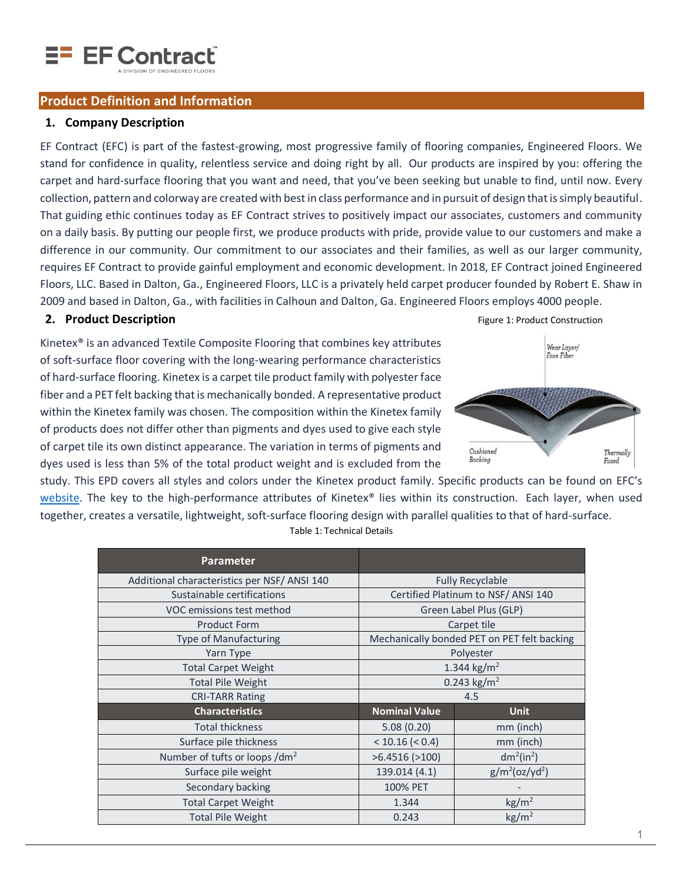<span id="page-2-0"></span>

#### **Product Definition and Information**

#### **1. Company Description**

EF Contract (EFC) is part of the fastest-growing, most progressive family of flooring companies, Engineered Floors. We stand for confidence in quality, relentless service and doing right by all. Our products are inspired by you: offering the carpet and hard-surface flooring that you want and need, that you've been seeking but unable to find, until now. Every collection, pattern and colorway are created with best in class performance and in pursuit of design that is simply beautiful. That guiding ethic continues today as EF Contract strives to positively impact our associates, customers and community on a daily basis. By putting our people first, we produce products with pride, provide value to our customers and make a difference in our community. Our commitment to our associates and their families, as well as our larger community, requires EF Contract to provide gainful employment and economic development. In 2018, EF Contract joined Engineered Floors, LLC. Based in Dalton, Ga., Engineered Floors, LLC is a privately held carpet producer founded by Robert E. Shaw in 2009 and based in Dalton, Ga., with facilities in Calhoun and Dalton, Ga. Engineered Floors employs 4000 people.

#### **2. Product Description Figure 1: Product Construction Product Construction**

Kinetex® is an advanced Textile Composite Flooring that combines key attributes of soft-surface floor covering with the long-wearing performance characteristics of hard-surface flooring. Kinetex is a carpet tile product family with polyester face fiber and a PET felt backing that is mechanically bonded. A representative product within the Kinetex family was chosen. The composition within the Kinetex family of products does not differ other than pigments and dyes used to give each style of carpet tile its own distinct appearance. The variation in terms of pigments and dyes used is less than 5% of the total product weight and is excluded from the



study. This EPD covers all styles and colors under the Kinetex product family. Specific products can be found on EFC's [website.](http://www.efcontractflooring.com/product-category/kinetex/) The key to the high-performance attributes of Kinetex® lies within its construction. Each layer, when used together, creates a versatile, lightweight, soft-surface flooring design with parallel qualities to that of hard-surface. Table 1: Technical Details

|                       | <b>Fully Recyclable</b>                     |  |  |
|-----------------------|---------------------------------------------|--|--|
|                       | Certified Platinum to NSF/ ANSI 140         |  |  |
|                       | Green Label Plus (GLP)                      |  |  |
|                       | Carpet tile                                 |  |  |
|                       | Mechanically bonded PET on PET felt backing |  |  |
|                       | Polyester                                   |  |  |
| 1.344 $\text{kg/m}^2$ |                                             |  |  |
| 0.243 $\text{kg/m}^2$ |                                             |  |  |
| 4.5                   |                                             |  |  |
| <b>Nominal Value</b>  | <b>Unit</b>                                 |  |  |
| 5.08(0.20)            | mm (inch)                                   |  |  |
| < 10.16 (< 0.4)       | mm (inch)                                   |  |  |
| $>6.4516$ ( $>100$ )  | $dm^2(in^2)$                                |  |  |
| 139.014 (4.1)         | $g/m^2$ (oz/yd <sup>2</sup> )               |  |  |
| 100% PET              |                                             |  |  |
| 1.344                 | $\text{kg/m}^2$                             |  |  |
| 0.243                 | $\text{kg/m}^2$                             |  |  |
|                       |                                             |  |  |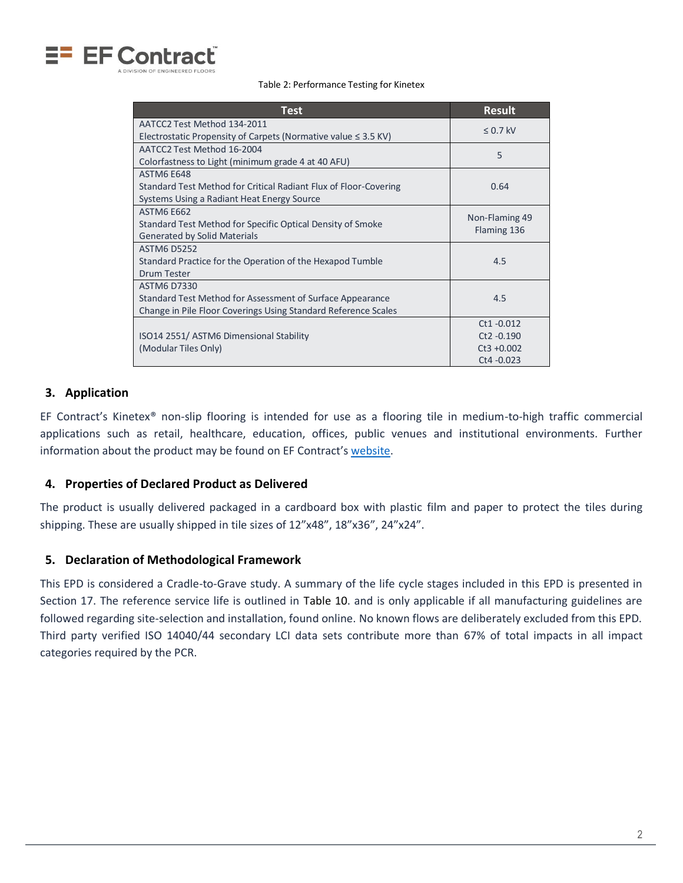

Table 2: Performance Testing for Kinetex

| <b>Test</b>                                                         | <b>Result</b>  |
|---------------------------------------------------------------------|----------------|
| AATCC2 Test Method 134-2011                                         | $< 0.7$ kV     |
| Electrostatic Propensity of Carpets (Normative value $\leq$ 3.5 KV) |                |
| AATCC2 Test Method 16-2004                                          | 5              |
| Colorfastness to Light (minimum grade 4 at 40 AFU)                  |                |
| ASTM6 F648                                                          |                |
| Standard Test Method for Critical Radiant Flux of Floor-Covering    | 0.64           |
| Systems Using a Radiant Heat Energy Source                          |                |
| <b>ASTM6 E662</b>                                                   | Non-Flaming 49 |
| Standard Test Method for Specific Optical Density of Smoke          | Flaming 136    |
| <b>Generated by Solid Materials</b>                                 |                |
| <b>ASTM6 D5252</b>                                                  |                |
| Standard Practice for the Operation of the Hexapod Tumble           | 4.5            |
| Drum Tester                                                         |                |
| <b>ASTM6 D7330</b>                                                  |                |
| Standard Test Method for Assessment of Surface Appearance           | 4.5            |
| Change in Pile Floor Coverings Using Standard Reference Scales      |                |
|                                                                     | $Ct1 - 0.012$  |
| ISO14 2551/ ASTM6 Dimensional Stability                             | Ct2 -0.190     |
| (Modular Tiles Only)                                                | $Ct3 + 0.002$  |
|                                                                     | Ct4 - 0.023    |

# **3. Application**

EF Contract's Kinetex® non-slip flooring is intended for use as a flooring tile in medium-to-high traffic commercial applications such as retail, healthcare, education, offices, public venues and institutional environments. Further information about the product may be found on EF Contract's [website.](http://www.efcontractflooring.com/what-is-kinetex/)

#### **4. Properties of Declared Product as Delivered**

The product is usually delivered packaged in a cardboard box with plastic film and paper to protect the tiles during shipping. These are usually shipped in tile sizes of 12"x48", 18"x36", 24"x24".

#### **5. Declaration of Methodological Framework**

This EPD is considered a Cradle-to-Grave study. A summary of the life cycle stages included in this EPD is presented in Section 17. The reference service life is outlined in [Table 10.](#page-9-0) and is only applicable if all manufacturing guidelines are followed regarding site-selection and installation, found online. No known flows are deliberately excluded from this EPD. Third party verified ISO 14040/44 secondary LCI data sets contribute more than 67% of total impacts in all impact categories required by the PCR.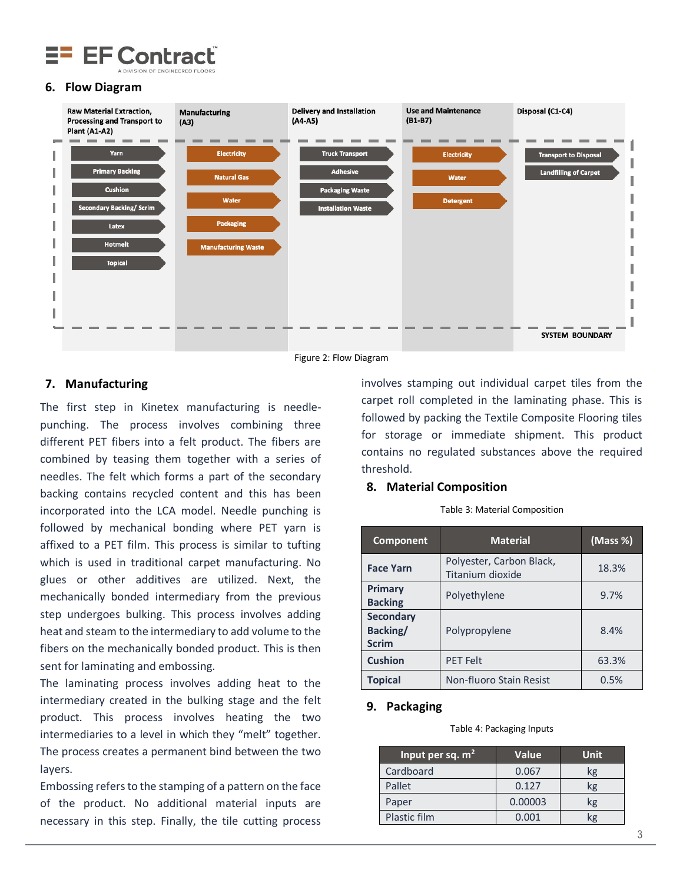

#### **6. Flow Diagram**



Figure 2: Flow Diagram

#### **7. Manufacturing**

The first step in Kinetex manufacturing is needlepunching. The process involves combining three different PET fibers into a felt product. The fibers are combined by teasing them together with a series of needles. The felt which forms a part of the secondary backing contains recycled content and this has been incorporated into the LCA model. Needle punching is followed by mechanical bonding where PET yarn is affixed to a PET film. This process is similar to tufting which is used in traditional carpet manufacturing. No glues or other additives are utilized. Next, the mechanically bonded intermediary from the previous step undergoes bulking. This process involves adding heat and steam to the intermediary to add volume to the fibers on the mechanically bonded product. This is then sent for laminating and embossing.

The laminating process involves adding heat to the intermediary created in the bulking stage and the felt product. This process involves heating the two intermediaries to a level in which they "melt" together. The process creates a permanent bind between the two layers.

Embossing refers to the stamping of a pattern on the face of the product. No additional material inputs are necessary in this step. Finally, the tile cutting process

involves stamping out individual carpet tiles from the carpet roll completed in the laminating phase. This is followed by packing the Textile Composite Flooring tiles for storage or immediate shipment. This product contains no regulated substances above the required threshold.

#### **8. Material Composition**

|  | Table 3: Material Composition |
|--|-------------------------------|
|  |                               |

| Component                                    | <b>Material</b>                              | (Mass %) |
|----------------------------------------------|----------------------------------------------|----------|
| <b>Face Yarn</b>                             | Polyester, Carbon Black,<br>Titanium dioxide | 18.3%    |
| Primary<br><b>Backing</b>                    | Polyethylene                                 | 9.7%     |
| <b>Secondary</b><br>Backing/<br><b>Scrim</b> | Polypropylene                                | 8.4%     |
| <b>Cushion</b>                               | <b>PET Felt</b>                              | 63.3%    |
| <b>Topical</b>                               | Non-fluoro Stain Resist                      | 0.5%     |

#### **9. Packaging**

#### Table 4: Packaging Inputs

| Input per sq. m <sup>2</sup> | Value   | <b>Unit</b> |
|------------------------------|---------|-------------|
| Cardboard                    | 0.067   | kg          |
| Pallet                       | 0.127   | kg          |
| Paper                        | 0.00003 | kg          |
| Plastic film                 | 0.001   | <b>s</b>    |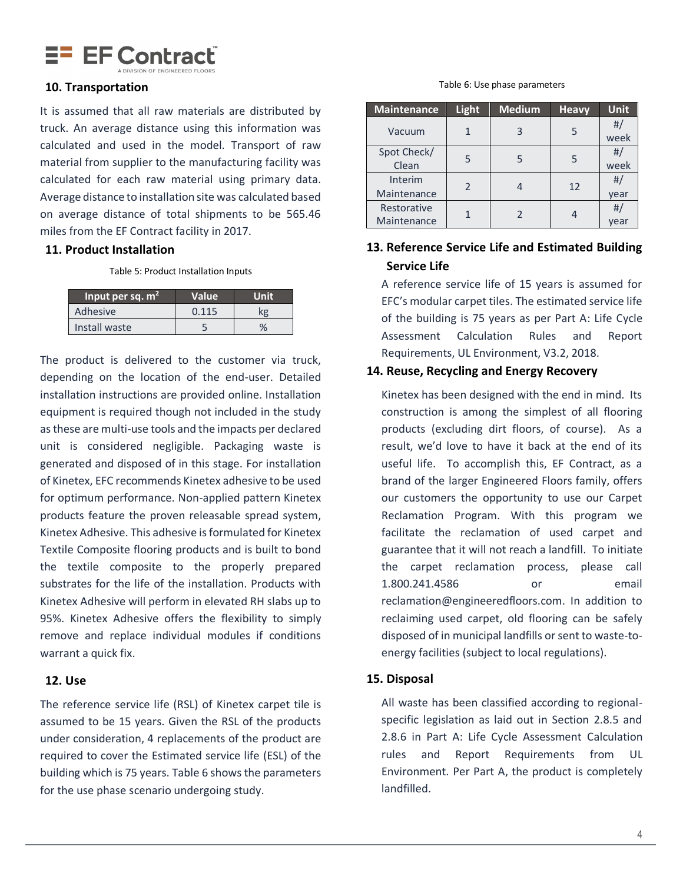

#### **10. Transportation**

It is assumed that all raw materials are distributed by truck. An average distance using this information was calculated and used in the model. Transport of raw material from supplier to the manufacturing facility was calculated for each raw material using primary data. Average distance to installation site was calculated based on average distance of total shipments to be 565.46 miles from the EF Contract facility in 2017.

#### **11. Product Installation**

Table 5: Product Installation Inputs

| Input per sq. $m2$ | <b>Value</b> | Unit |
|--------------------|--------------|------|
| Adhesive           | 0.115        | kg   |
| Install waste      |              | $\%$ |

The product is delivered to the customer via truck, depending on the location of the end-user. Detailed installation instructions are provided online. Installation equipment is required though not included in the study as these are multi-use tools and the impacts per declared unit is considered negligible. Packaging waste is generated and disposed of in this stage. For installation of Kinetex, EFC recommends Kinetex adhesive to be used for optimum performance. Non-applied pattern Kinetex products feature the proven releasable spread system, Kinetex Adhesive. This adhesive is formulated for Kinetex Textile Composite flooring products and is built to bond the textile composite to the properly prepared substrates for the life of the installation. Products with Kinetex Adhesive will perform in elevated RH slabs up to 95%. Kinetex Adhesive offers the flexibility to simply remove and replace individual modules if conditions warrant a quick fix.

#### **12. Use**

The reference service life (RSL) of Kinetex carpet tile is assumed to be 15 years. Given the RSL of the products under consideration, 4 replacements of the product are required to cover the Estimated service life (ESL) of the building which is 75 years. Table 6 shows the parameters for the use phase scenario undergoing study.

#### Table 6: Use phase parameters

| <b>Maintenance</b> | Light | <b>Medium</b> | <b>Heavy</b> | <b>Unit</b> |
|--------------------|-------|---------------|--------------|-------------|
| Vacuum             |       | 3             |              | #           |
|                    |       |               |              | week        |
| Spot Check/        |       |               |              | #           |
| Clean              | 5     |               |              | week        |
| Interim            |       |               |              | #           |
| Maintenance        | 2     |               | 12           | year        |
| Restorative        |       |               |              | #           |
| Maintenance        |       |               |              | vear        |

# **13. Reference Service Life and Estimated Building Service Life**

A reference service life of 15 years is assumed for EFC's modular carpet tiles. The estimated service life of the building is 75 years as per Part A: Life Cycle Assessment Calculation Rules and Report Requirements, UL Environment, V3.2, 2018.

#### **14. Reuse, Recycling and Energy Recovery**

Kinetex has been designed with the end in mind. Its construction is among the simplest of all flooring products (excluding dirt floors, of course). As a result, we'd love to have it back at the end of its useful life. To accomplish this, EF Contract, as a brand of the larger Engineered Floors family, offers our customers the opportunity to use our Carpet Reclamation Program. With this program we facilitate the reclamation of used carpet and guarantee that it will not reach a landfill. To initiate the carpet reclamation process, please call 1.800.241.4586 or email [reclamation@engineeredfloors.com.](mailto:reclamation@engineeredfloors.com) In addition to reclaiming used carpet, old flooring can be safely disposed of in municipal landfills or sent to waste-toenergy facilities (subject to local regulations).

#### **15. Disposal**

All waste has been classified according to regionalspecific legislation as laid out in Section 2.8.5 and 2.8.6 in Part A: Life Cycle Assessment Calculation rules and Report Requirements from UL Environment. Per Part A, the product is completely landfilled.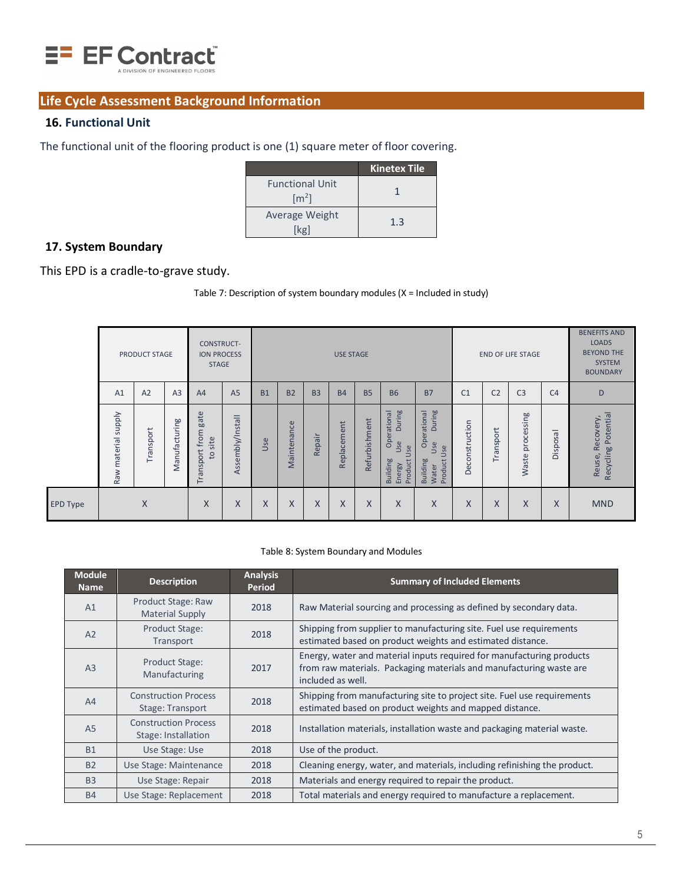

# **Life Cycle Assessment Background Information**

### **16. Functional Unit**

The functional unit of the flooring product is one (1) square meter of floor covering.

|                                               | <b>Kinetex Tile</b> |
|-----------------------------------------------|---------------------|
| <b>Functional Unit</b><br>$\lceil m^2 \rceil$ |                     |
| Average Weight<br>lkøl                        | 1.3                 |

# **17. System Boundary**

This EPD is a cradle-to-grave study.

Table 7: Description of system boundary modules (X = Included in study)

|                 |                               | PRODUCT STAGE |                | CONSTRUCT-<br><b>ION PROCESS</b><br><b>STAGE</b> |                  |           |                |                | <b>USE STAGE</b> |               |                                                                      |                                                                     |                |                | <b>END OF LIFE STAGE</b> |                | <b>BENEFITS AND</b><br><b>LOADS</b><br><b>BEYOND THE</b><br><b>SYSTEM</b><br><b>BOUNDARY</b> |
|-----------------|-------------------------------|---------------|----------------|--------------------------------------------------|------------------|-----------|----------------|----------------|------------------|---------------|----------------------------------------------------------------------|---------------------------------------------------------------------|----------------|----------------|--------------------------|----------------|----------------------------------------------------------------------------------------------|
|                 | A1                            | A2            | A <sub>3</sub> | A <sub>4</sub>                                   | A <sub>5</sub>   | <b>B1</b> | B <sub>2</sub> | B <sub>3</sub> | <b>B4</b>        | <b>B5</b>     | <b>B6</b>                                                            | <b>B7</b>                                                           | C <sub>1</sub> | C <sub>2</sub> | C <sub>3</sub>           | C <sub>4</sub> | D                                                                                            |
|                 | <b>Alddns</b><br>Raw material | Transport     | Manufacturing  | gate<br>from<br>to site<br>Transport             | Assembly/Install | Use       | Maintenance    | Repair         | ment<br>Replacer | Refurbishment | During<br>Operational<br>Use<br>Use<br>Building<br>Product<br>Energy | During<br>Operational<br>Use<br>Use<br>Product<br>Building<br>Water | Deconstruction | Transport      | processing<br>Waste      | Disposal       | Recycling Potential<br>Reuse, Recovery,                                                      |
| <b>EPD Type</b> |                               | X             |                | X                                                | X                | X         | X              | X              | X                | X             | X                                                                    | X                                                                   | X              | X              | X                        | X              | <b>MND</b>                                                                                   |

#### Table 8: System Boundary and Modules

| <b>Module</b><br><b>Name</b> | <b>Description</b>                                 | <b>Analysis</b><br>Period | <b>Summary of Included Elements</b>                                                                                                                               |
|------------------------------|----------------------------------------------------|---------------------------|-------------------------------------------------------------------------------------------------------------------------------------------------------------------|
| A1                           | Product Stage: Raw<br><b>Material Supply</b>       | 2018                      | Raw Material sourcing and processing as defined by secondary data.                                                                                                |
| A2                           | Product Stage:<br>Transport                        | 2018                      | Shipping from supplier to manufacturing site. Fuel use requirements<br>estimated based on product weights and estimated distance.                                 |
| A <sub>3</sub>               | Product Stage:<br>Manufacturing                    | 2017                      | Energy, water and material inputs required for manufacturing products<br>from raw materials. Packaging materials and manufacturing waste are<br>included as well. |
| A4                           | <b>Construction Process</b><br>Stage: Transport    | 2018                      | Shipping from manufacturing site to project site. Fuel use requirements<br>estimated based on product weights and mapped distance.                                |
| A <sub>5</sub>               | <b>Construction Process</b><br>Stage: Installation | 2018                      | Installation materials, installation waste and packaging material waste.                                                                                          |
| <b>B1</b>                    | Use Stage: Use                                     | 2018                      | Use of the product.                                                                                                                                               |
| <b>B2</b>                    | Use Stage: Maintenance                             | 2018                      | Cleaning energy, water, and materials, including refinishing the product.                                                                                         |
| <b>B3</b>                    | Use Stage: Repair                                  | 2018                      | Materials and energy required to repair the product.                                                                                                              |
| <b>B4</b>                    | Use Stage: Replacement                             | 2018                      | Total materials and energy required to manufacture a replacement.                                                                                                 |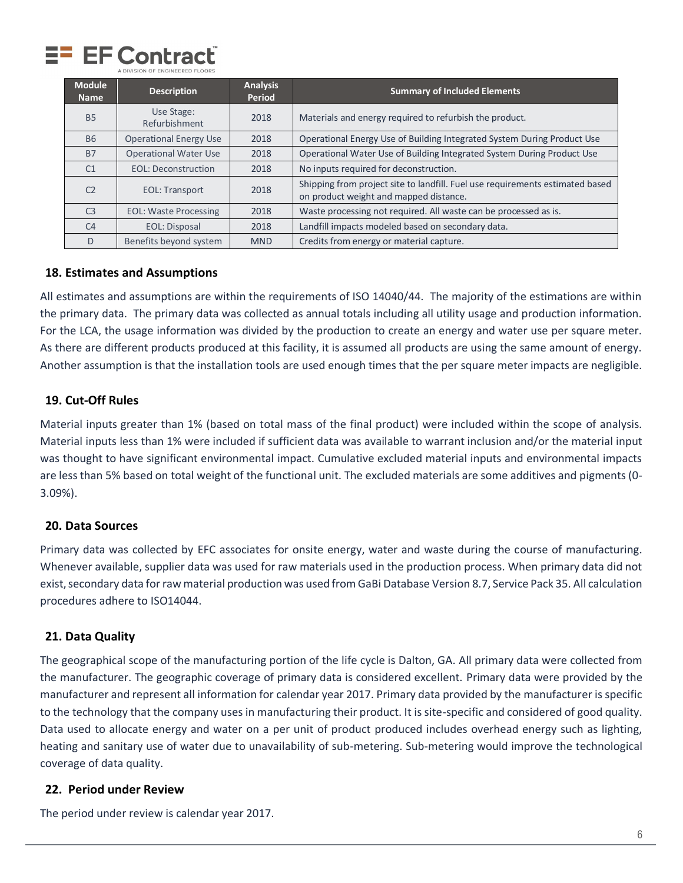

| <b>Module</b><br><b>Name</b> | <b>Description</b>            | <b>Analysis</b><br>Period | <b>Summary of Included Elements</b>                                                                                     |
|------------------------------|-------------------------------|---------------------------|-------------------------------------------------------------------------------------------------------------------------|
| <b>B5</b>                    | Use Stage:<br>Refurbishment   | 2018                      | Materials and energy required to refurbish the product.                                                                 |
| <b>B6</b>                    | <b>Operational Energy Use</b> | 2018                      | Operational Energy Use of Building Integrated System During Product Use                                                 |
| <b>B7</b>                    | <b>Operational Water Use</b>  | 2018                      | Operational Water Use of Building Integrated System During Product Use                                                  |
| C <sub>1</sub>               | <b>EOL: Deconstruction</b>    | 2018                      | No inputs required for deconstruction.                                                                                  |
| C <sub>2</sub>               | <b>EOL: Transport</b>         | 2018                      | Shipping from project site to landfill. Fuel use requirements estimated based<br>on product weight and mapped distance. |
| C <sub>3</sub>               | <b>EOL: Waste Processing</b>  | 2018                      | Waste processing not required. All waste can be processed as is.                                                        |
| C <sub>4</sub>               | <b>EOL: Disposal</b>          | 2018                      | Landfill impacts modeled based on secondary data.                                                                       |
| D                            | Benefits beyond system        | <b>MND</b>                | Credits from energy or material capture.                                                                                |

#### **18. Estimates and Assumptions**

All estimates and assumptions are within the requirements of ISO 14040/44. The majority of the estimations are within the primary data. The primary data was collected as annual totals including all utility usage and production information. For the LCA, the usage information was divided by the production to create an energy and water use per square meter. As there are different products produced at this facility, it is assumed all products are using the same amount of energy. Another assumption is that the installation tools are used enough times that the per square meter impacts are negligible.

#### **19. Cut-Off Rules**

Material inputs greater than 1% (based on total mass of the final product) were included within the scope of analysis. Material inputs less than 1% were included if sufficient data was available to warrant inclusion and/or the material input was thought to have significant environmental impact. Cumulative excluded material inputs and environmental impacts are less than 5% based on total weight of the functional unit. The excluded materials are some additives and pigments (0- 3.09%).

#### **20. Data Sources**

Primary data was collected by EFC associates for onsite energy, water and waste during the course of manufacturing. Whenever available, supplier data was used for raw materials used in the production process. When primary data did not exist, secondary data for raw material production was used from GaBi Database Version 8.7, Service Pack 35. All calculation procedures adhere to ISO14044.

#### **21. Data Quality**

The geographical scope of the manufacturing portion of the life cycle is Dalton, GA. All primary data were collected from the manufacturer. The geographic coverage of primary data is considered excellent. Primary data were provided by the manufacturer and represent all information for calendar year 2017. Primary data provided by the manufacturer is specific to the technology that the company uses in manufacturing their product. It is site-specific and considered of good quality. Data used to allocate energy and water on a per unit of product produced includes overhead energy such as lighting, heating and sanitary use of water due to unavailability of sub-metering. Sub-metering would improve the technological coverage of data quality.

#### **22. Period under Review**

The period under review is calendar year 2017.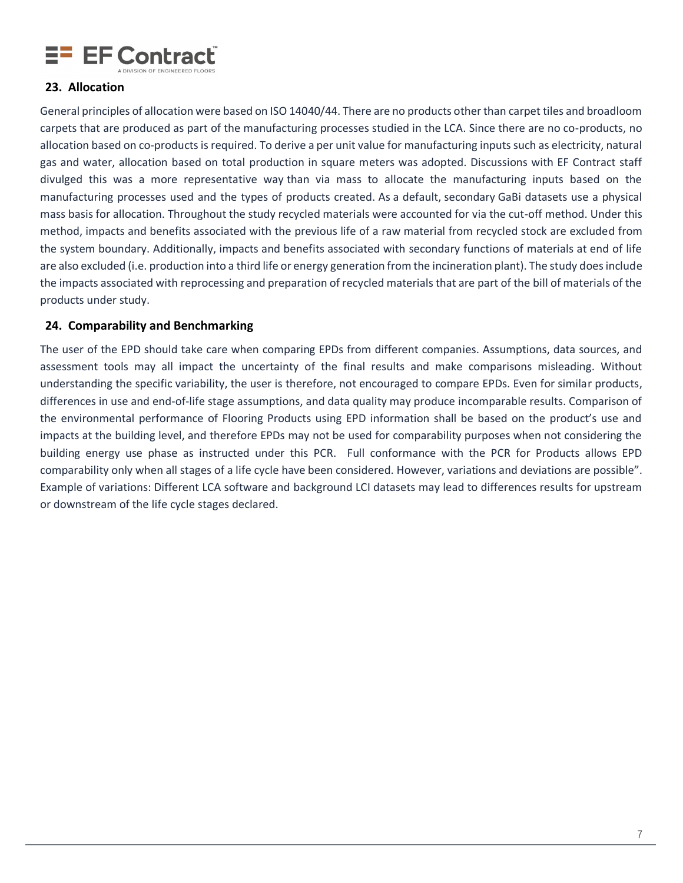

#### **23. Allocation**

General principles of allocation were based on ISO 14040/44. There are no products other than carpet tiles and broadloom carpets that are produced as part of the manufacturing processes studied in the LCA. Since there are no co-products, no allocation based on co-products is required. To derive a per unit value for manufacturing inputs such as electricity, natural gas and water, allocation based on total production in square meters was adopted. Discussions with EF Contract staff divulged this was a more representative way than via mass to allocate the manufacturing inputs based on the manufacturing processes used and the types of products created. As a default, secondary GaBi datasets use a physical mass basis for allocation. Throughout the study recycled materials were accounted for via the cut-off method. Under this method, impacts and benefits associated with the previous life of a raw material from recycled stock are excluded from the system boundary. Additionally, impacts and benefits associated with secondary functions of materials at end of life are also excluded (i.e. production into a third life or energy generation from the incineration plant). The study does include the impacts associated with reprocessing and preparation of recycled materials that are part of the bill of materials of the products under study.

#### **24. Comparability and Benchmarking**

The user of the EPD should take care when comparing EPDs from different companies. Assumptions, data sources, and assessment tools may all impact the uncertainty of the final results and make comparisons misleading. Without understanding the specific variability, the user is therefore, not encouraged to compare EPDs. Even for similar products, differences in use and end-of-life stage assumptions, and data quality may produce incomparable results. Comparison of the environmental performance of Flooring Products using EPD information shall be based on the product's use and impacts at the building level, and therefore EPDs may not be used for comparability purposes when not considering the building energy use phase as instructed under this PCR. Full conformance with the PCR for Products allows EPD comparability only when all stages of a life cycle have been considered. However, variations and deviations are possible". Example of variations: Different LCA software and background LCI datasets may lead to differences results for upstream or downstream of the life cycle stages declared.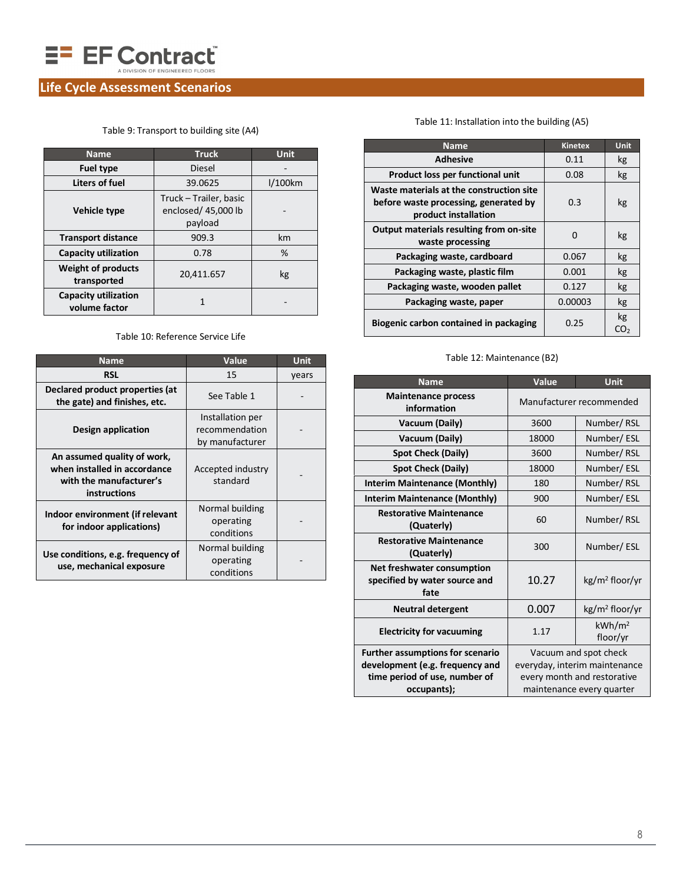

# **Life Cycle Assessment Scenarios**

|  | Table 9: Transport to building site (A4) |  |  |
|--|------------------------------------------|--|--|
|  |                                          |  |  |

| <b>Name</b>                                  | <b>Truck</b>                                             | Unit       |
|----------------------------------------------|----------------------------------------------------------|------------|
| <b>Fuel type</b>                             | <b>Diesel</b>                                            |            |
| Liters of fuel                               | 39.0625                                                  | $1/100$ km |
| Vehicle type                                 | Truck - Trailer, basic<br>enclosed/ 45,000 lb<br>payload |            |
| <b>Transport distance</b>                    | 909.3                                                    | km         |
| <b>Capacity utilization</b>                  | 0.78                                                     | %          |
| <b>Weight of products</b><br>transported     | 20,411.657                                               | kg         |
| <b>Capacity utilization</b><br>volume factor |                                                          |            |

#### Table 10: Reference Service Life

<span id="page-9-0"></span>

| <b>Name</b>                                                                                                   | Value                                                 | <b>Unit</b> |
|---------------------------------------------------------------------------------------------------------------|-------------------------------------------------------|-------------|
| <b>RSL</b>                                                                                                    | 15                                                    | years       |
| Declared product properties (at<br>the gate) and finishes, etc.                                               | See Table 1                                           |             |
| Design application                                                                                            | Installation per<br>recommendation<br>by manufacturer |             |
| An assumed quality of work,<br>when installed in accordance<br>with the manufacturer's<br><b>instructions</b> | Accepted industry<br>standard                         |             |
| Indoor environment (if relevant<br>for indoor applications)                                                   | Normal building<br>operating<br>conditions            |             |
| Use conditions, e.g. frequency of<br>use, mechanical exposure                                                 | Normal building<br>operating<br>conditions            |             |

#### Table 11: Installation into the building (A5)

| <b>Name</b>                                                                                               | <b>Kinetex</b> | Unit      |
|-----------------------------------------------------------------------------------------------------------|----------------|-----------|
| <b>Adhesive</b>                                                                                           | 0.11           | kg        |
| Product loss per functional unit                                                                          | 0.08           | kg        |
| Waste materials at the construction site<br>before waste processing, generated by<br>product installation | 0.3            | kg        |
| Output materials resulting from on-site<br>waste processing                                               | n              | kg        |
| Packaging waste, cardboard                                                                                | 0.067          | kg        |
| Packaging waste, plastic film                                                                             | 0.001          | kg        |
| Packaging waste, wooden pallet                                                                            | 0.127          | kg        |
| Packaging waste, paper                                                                                    | 0.00003        | kg        |
| Biogenic carbon contained in packaging                                                                    | 0.25           | kg<br>CO. |

#### Table 12: Maintenance (B2)

| <b>Name</b>                                                         | Value<br>Unit            |                                |  |  |  |  |
|---------------------------------------------------------------------|--------------------------|--------------------------------|--|--|--|--|
| <b>Maintenance process</b><br>information                           | Manufacturer recommended |                                |  |  |  |  |
|                                                                     |                          |                                |  |  |  |  |
| Vacuum (Daily)                                                      | 3600                     | Number/RSL                     |  |  |  |  |
| Vacuum (Daily)                                                      | 18000                    | Number/ESL                     |  |  |  |  |
| <b>Spot Check (Daily)</b>                                           | 3600                     | Number/RSL                     |  |  |  |  |
| <b>Spot Check (Daily)</b>                                           | 18000                    | Number/ESL                     |  |  |  |  |
| <b>Interim Maintenance (Monthly)</b>                                | 180                      | Number/RSL                     |  |  |  |  |
| <b>Interim Maintenance (Monthly)</b>                                | 900                      | Number/ESL                     |  |  |  |  |
| <b>Restorative Maintenance</b><br>(Quaterly)                        | 60                       | Number/RSL                     |  |  |  |  |
| <b>Restorative Maintenance</b><br>(Quaterly)                        | Number/ESL<br>300        |                                |  |  |  |  |
| Net freshwater consumption<br>specified by water source and<br>fate | 10.27                    | kg/m <sup>2</sup> floor/yr     |  |  |  |  |
| <b>Neutral detergent</b>                                            | 0.007                    | kg/m <sup>2</sup> floor/yr     |  |  |  |  |
| <b>Electricity for vacuuming</b>                                    | 1.17                     | kWh/m <sup>2</sup><br>floor/yr |  |  |  |  |
| <b>Further assumptions for scenario</b>                             |                          | Vacuum and spot check          |  |  |  |  |
| development (e.g. frequency and                                     |                          | everyday, interim maintenance  |  |  |  |  |
| time period of use, number of                                       |                          | every month and restorative    |  |  |  |  |
| occupants);                                                         |                          | maintenance every quarter      |  |  |  |  |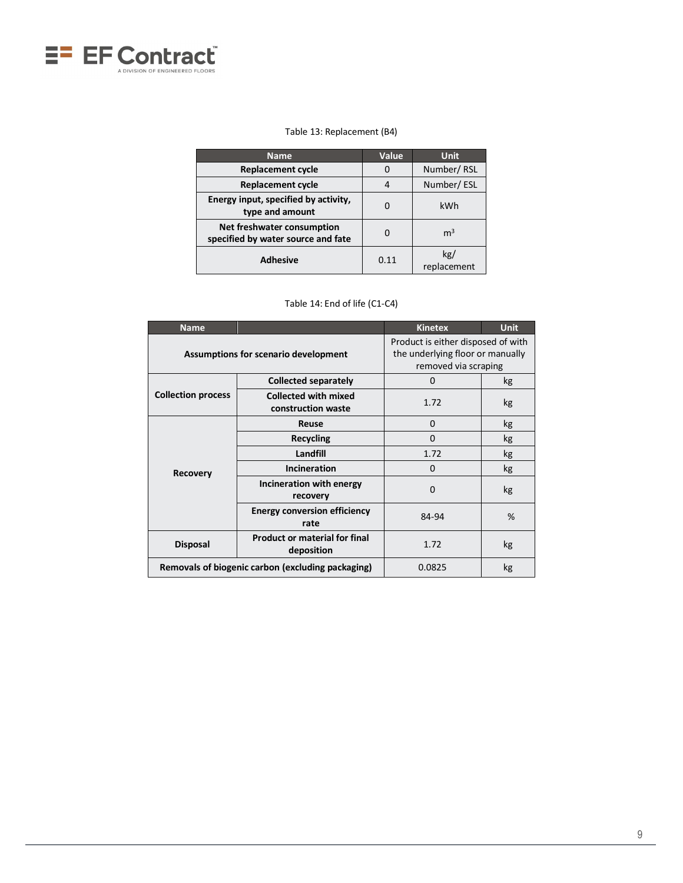

#### Table 13: Replacement (B4)

| <b>Name</b>                                                      | Value | <b>Unit</b>        |
|------------------------------------------------------------------|-------|--------------------|
| <b>Replacement cycle</b>                                         | O     | Number/RSL         |
| <b>Replacement cycle</b>                                         |       | Number/ESL         |
| Energy input, specified by activity,<br>type and amount          |       | kWh                |
| Net freshwater consumption<br>specified by water source and fate | O     | m <sup>3</sup>     |
| <b>Adhesive</b>                                                  | 0.11  | kg/<br>replacement |

| Table 14: End of life (C1-C4) |  |  |  |  |  |  |
|-------------------------------|--|--|--|--|--|--|
|-------------------------------|--|--|--|--|--|--|

| <b>Name</b>               |                                                    | <b>Kinetex</b>                                                                                 | <b>Unit</b> |  |  |
|---------------------------|----------------------------------------------------|------------------------------------------------------------------------------------------------|-------------|--|--|
|                           | <b>Assumptions for scenario development</b>        | Product is either disposed of with<br>the underlying floor or manually<br>removed via scraping |             |  |  |
|                           | <b>Collected separately</b>                        | $\Omega$                                                                                       | kg          |  |  |
| <b>Collection process</b> | <b>Collected with mixed</b><br>construction waste  | 1.72                                                                                           | kg          |  |  |
|                           | Reuse                                              | $\Omega$                                                                                       | kg          |  |  |
|                           | Recycling                                          | $\Omega$                                                                                       | kg          |  |  |
|                           | Landfill                                           | 1.72                                                                                           | kg          |  |  |
| <b>Recovery</b>           | Incineration                                       | 0                                                                                              | kg          |  |  |
|                           | Incineration with energy<br>recovery               | $\Omega$                                                                                       | kg          |  |  |
|                           | <b>Energy conversion efficiency</b><br>rate        | 84-94                                                                                          | %           |  |  |
| <b>Disposal</b>           | <b>Product or material for final</b><br>deposition |                                                                                                | kg          |  |  |
|                           | Removals of biogenic carbon (excluding packaging)  | 0.0825                                                                                         | kg          |  |  |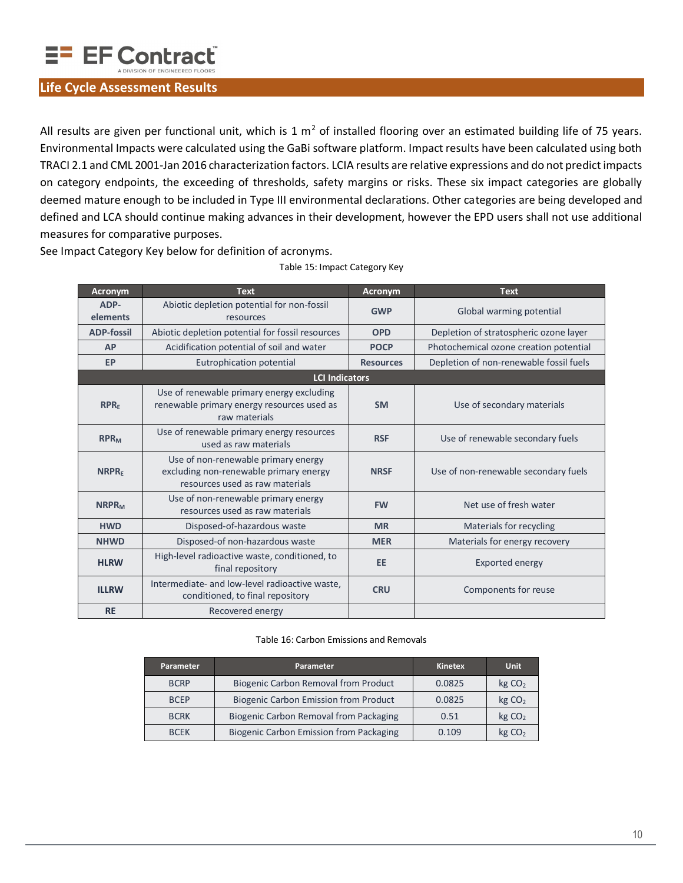

#### **Life Cycle Assessment Results**

All results are given per functional unit, which is 1  $m^2$  of installed flooring over an estimated building life of 75 years. Environmental Impacts were calculated using the GaBi software platform. Impact results have been calculated using both TRACI 2.1 and CML 2001-Jan 2016 characterization factors. LCIA results are relative expressions and do not predict impacts on category endpoints, the exceeding of thresholds, safety margins or risks. These six impact categories are globally deemed mature enough to be included in Type III environmental declarations. Other categories are being developed and defined and LCA should continue making advances in their development, however the EPD users shall not use additional measures for comparative purposes.

See Impact Category Key below for definition of acronyms.

| Acronym                 | <b>Text</b>                                                                                                      | Acronym          | <b>Text</b>                             |
|-------------------------|------------------------------------------------------------------------------------------------------------------|------------------|-----------------------------------------|
| ADP-<br>elements        | Abiotic depletion potential for non-fossil<br>resources                                                          | <b>GWP</b>       | Global warming potential                |
| <b>ADP-fossil</b>       | Abiotic depletion potential for fossil resources                                                                 | <b>OPD</b>       | Depletion of stratospheric ozone layer  |
| <b>AP</b>               | Acidification potential of soil and water                                                                        | <b>POCP</b>      | Photochemical ozone creation potential  |
| EP                      | Eutrophication potential                                                                                         | <b>Resources</b> | Depletion of non-renewable fossil fuels |
|                         | <b>LCI Indicators</b>                                                                                            |                  |                                         |
| RPR <sub>F</sub>        | Use of renewable primary energy excluding<br>renewable primary energy resources used as<br>raw materials         | <b>SM</b>        | Use of secondary materials              |
| <b>RPR<sub>M</sub></b>  | Use of renewable primary energy resources<br>used as raw materials                                               | <b>RSF</b>       | Use of renewable secondary fuels        |
| <b>NRPRF</b>            | Use of non-renewable primary energy<br>excluding non-renewable primary energy<br>resources used as raw materials | <b>NRSF</b>      | Use of non-renewable secondary fuels    |
| <b>NRPR<sub>M</sub></b> | Use of non-renewable primary energy<br>resources used as raw materials                                           | <b>FW</b>        | Net use of fresh water                  |
| <b>HWD</b>              | Disposed-of-hazardous waste                                                                                      | <b>MR</b>        | Materials for recycling                 |
| <b>NHWD</b>             | Disposed-of non-hazardous waste                                                                                  | <b>MER</b>       | Materials for energy recovery           |
| <b>HLRW</b>             | High-level radioactive waste, conditioned, to<br>final repository                                                | EE               | Exported energy                         |
| <b>ILLRW</b>            | Intermediate- and low-level radioactive waste,<br>conditioned, to final repository                               | <b>CRU</b>       | Components for reuse                    |
| <b>RE</b>               | Recovered energy                                                                                                 |                  |                                         |

Table 15: Impact Category Key

#### Table 16: Carbon Emissions and Removals

| Parameter   | Parameter                                      | Kinetex | <b>Unit</b>        |
|-------------|------------------------------------------------|---------|--------------------|
| <b>BCRP</b> | <b>Biogenic Carbon Removal from Product</b>    | 0.0825  | kg CO <sub>2</sub> |
| <b>BCEP</b> | Biogenic Carbon Emission from Product          | 0.0825  | kg CO <sub>2</sub> |
| <b>BCRK</b> | Biogenic Carbon Removal from Packaging         | 0.51    | kg CO <sub>2</sub> |
| <b>BCFK</b> | <b>Biogenic Carbon Emission from Packaging</b> | 0.109   | kg CO <sub>2</sub> |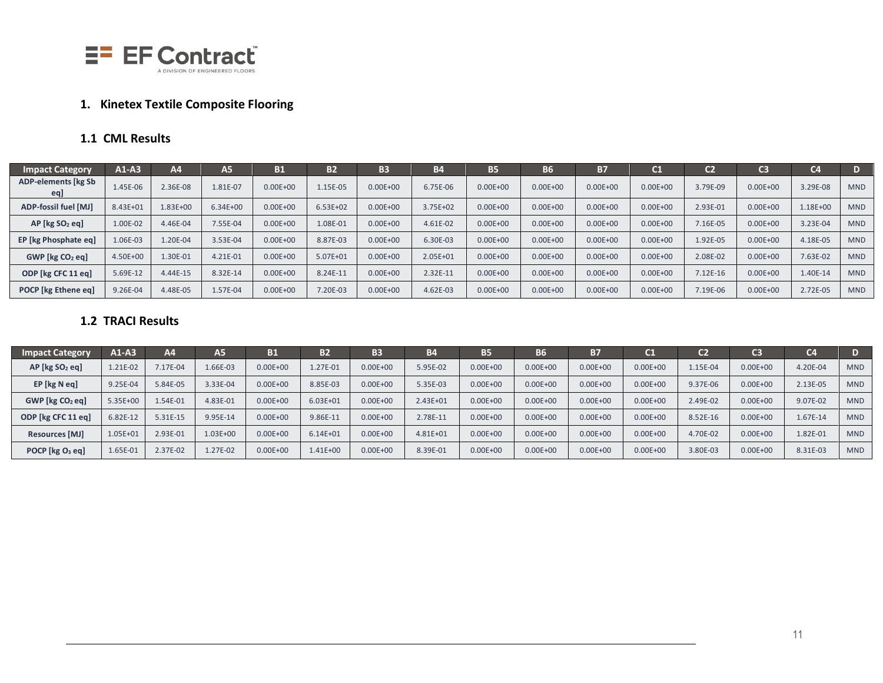

# **1. Kinetex Textile Composite Flooring**

# **1.1 CML Results**

| <b>Impact Category</b>            | $A1-A3$  | Α4       | А5           | <b>B1</b>    | <b>B2</b>    | <b>B3</b>    | <b>B4</b> | <b>B5</b>    | <b>B6</b>    | <b>B7</b>    | $^{\sim}$    | C2       | C <sub>3</sub> | C <sub>4</sub> |            |
|-----------------------------------|----------|----------|--------------|--------------|--------------|--------------|-----------|--------------|--------------|--------------|--------------|----------|----------------|----------------|------------|
| <b>ADP-elements [kg Sb</b><br>eq] | 1.45E-06 | 2.36E-08 | 1.81E-07     | $0.00E + 00$ | 1.15E-05     | $0.00E + 00$ | 6.75E-06  | $0.00E + 00$ | $0.00E + 00$ | $0.00E + 00$ | $0.00E + 00$ | 3.79E-09 | $0.00E + 00$   | 3.29E-08       | <b>MND</b> |
| ADP-fossil fuel [MJ]              | 8.43E+01 | 1.83E+00 | $6.34E + 00$ | $0.00E + 00$ | $6.53E + 02$ | $0.00E + 00$ | 3.75E+02  | $0.00E + 00$ | $0.00E + 00$ | $0.00E + 00$ | $0.00E + 00$ | 2.93E-01 | $0.00E + 00$   | 1.18E+00       | <b>MND</b> |
| $AP$ [kg $SO2$ eq]                | 1.00E-02 | 4.46E-04 | 7.55E-04     | $0.00E + 00$ | 1.08E-01     | $0.00E + 00$ | 4.61E-02  | $0.00E + 00$ | $0.00E + 00$ | $0.00E + 00$ | $0.00E + 00$ | 7.16E-05 | $0.00E + 00$   | 3.23E-04       | <b>MND</b> |
| <b>EP</b> [kg Phosphate eq]       | 1.06E-03 | 1.20E-04 | 3.53E-04     | $0.00E + 00$ | 8.87E-03     | $0.00E + 00$ | 6.30E-03  | $0.00E + 00$ | $0.00E + 00$ | $0.00E + 00$ | $0.00E + 00$ | 1.92E-05 | $0.00E + 00$   | 4.18E-05       | <b>MND</b> |
| $GWP$ [kg $CO2$ eq]               | 4.50E+00 | 1.30E-01 | 4.21E-01     | $0.00E + 00$ | 5.07E+01     | $0.00E + 00$ | 2.05E+01  | $0.00E + 00$ | $0.00E + 00$ | $0.00E + 00$ | $0.00E + 00$ | 2.08E-02 | $0.00E + 00$   | 7.63E-02       | <b>MND</b> |
| ODP [kg CFC 11 eq]                | 5.69E-12 | 4.44E-15 | 8.32E-14     | $0.00E + 00$ | 8.24E-11     | $0.00E + 00$ | 2.32E-11  | $0.00E + 00$ | $0.00E + 00$ | $0.00E + 00$ | $0.00E + 00$ | 7.12E-16 | $0.00E + 00$   | 1.40E-14       | <b>MND</b> |
| POCP [kg Ethene eq]               | 9.26E-04 | 4.48E-05 | 1.57E-04     | $0.00E + 00$ | 7.20E-03     | $0.00E + 00$ | 4.62E-03  | $0.00E + 00$ | $0.00E + 00$ | $0.00E + 00$ | $0.00E + 00$ | 7.19E-06 | $0.00E + 00$   | 2.72E-05       | <b>MND</b> |

# **1.2 TRACI Results**

| <b>Impact Category</b>         | $A1-A3$  | A4        | A5.      | В1           | B <sub>2</sub> | <b>B3</b>    | <b>B4</b>    | <b>B5</b>    | B6           | <b>B7</b>    | $\mathsf{C1}$ | C <sub>2</sub> | าว           | C <sub>4</sub> | D          |
|--------------------------------|----------|-----------|----------|--------------|----------------|--------------|--------------|--------------|--------------|--------------|---------------|----------------|--------------|----------------|------------|
| $AP$ [kg $SO2$ eq]             | 1.21E-02 | $.17E-04$ | 1.66E-03 | $0.00E + 00$ | $1.27E - 01$   | $0.00E + 00$ | 5.95E-02     | $0.00E + 00$ | $0.00E + 00$ | $0.00E + 00$ | $0.00E + 00$  | 1.15E-04       | $0.00E + 00$ | 4.20E-04       | <b>MND</b> |
| EP [kg N eq]                   | 9.25E-04 | 5.84E-05  | 3.33E-04 | $0.00E + 00$ | 8.85E-03       | $0.00E + 00$ | 5.35E-03     | $0.00E + 00$ | $0.00E + 00$ | $0.00E + 00$ | $0.00E + 00$  | 9.37E-06       | $0.00E + 00$ | 2.13E-05       | <b>MND</b> |
| $GWP$ [kg $CO2$ eq]            | 5.35E+00 | $.54E-01$ | 4.83E-01 | $0.00E + 00$ | $6.03E + 01$   | $0.00E + 00$ | $2.43E + 01$ | $0.00E + 00$ | $0.00E + 00$ | $0.00E + 00$ | $0.00E + 00$  | 2.49E-02       | $0.00E + 00$ | 9.07E-02       | <b>MND</b> |
| ODP [kg CFC 11 eq]             | 6.82E-12 | 5.31E-15  | 9.95E-14 | $0.00E + 00$ | 9.86E-11       | $0.00E + 00$ | 2.78E-11     | $0.00E + 00$ | $0.00E + 00$ | $0.00E + 00$ | $0.00E + 00$  | 8.52E-16       | $0.00E + 00$ | 1.67E-14       | <b>MND</b> |
| <b>Resources [MJ]</b>          | 1.05E+01 | 2.93E-01  | 1.03E+00 | $0.00E + 00$ | $6.14E + 01$   | $0.00E + 00$ | 4.81E+01     | $0.00E + 00$ | $0.00E + 00$ | $0.00E + 00$ | $0.00E + 00$  | 4.70E-02       | $0.00E + 00$ | 1.82E-01       | <b>MND</b> |
| POCP [ $kg$ O <sub>3</sub> eq] | 1.65E-01 | 2.37E-02  | 1.27E-02 | $0.00E + 00$ | $1.41E + 00$   | $0.00E + 00$ | 8.39E-01     | $0.00E + 00$ | $0.00E + 00$ | $0.00E + 00$ | $0.00E + 00$  | 3.80E-03       | $0.00E + 00$ | 8.31E-03       | <b>MND</b> |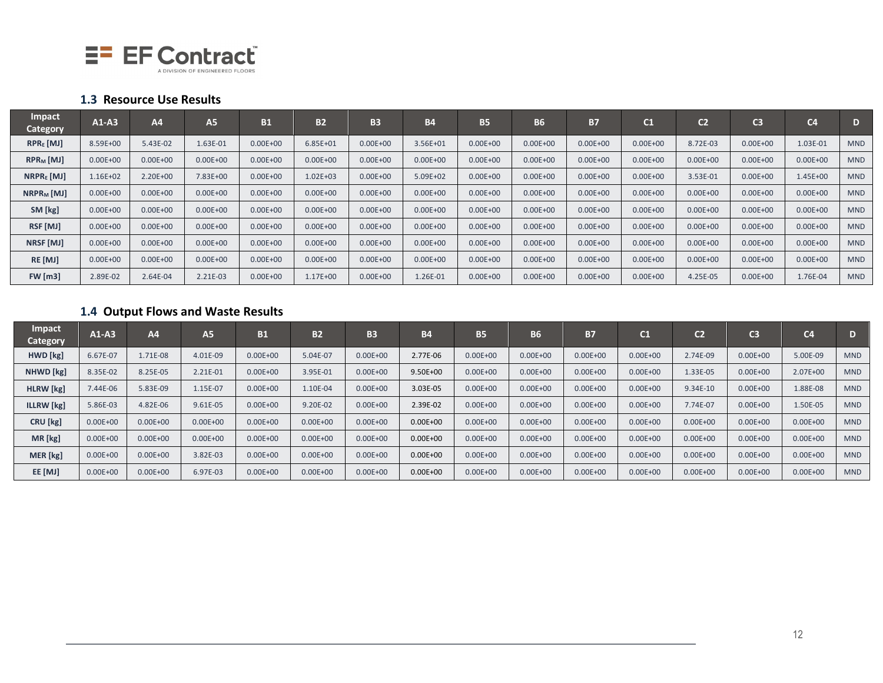

#### **1.3 Resource Use Results**

| <b>Impact</b><br><b>Category</b> | $A1-A3$      | AA           | <b>A5</b>    | <b>B1</b>    | <b>B2</b>    | <b>B3</b>    | <b>B4</b>    | <b>B5</b>    | <b>B6</b>    | <b>B7</b>    | C1           | C <sub>2</sub> | C <sub>3</sub> | C <sub>4</sub> | D          |
|----------------------------------|--------------|--------------|--------------|--------------|--------------|--------------|--------------|--------------|--------------|--------------|--------------|----------------|----------------|----------------|------------|
| $RPRE$ [MJ]                      | 8.59E+00     | 5.43E-02     | 1.63E-01     | $0.00E + 00$ | $6.85E + 01$ | $0.00E + 00$ | 3.56E+01     | $0.00E + 00$ | $0.00E + 00$ | $0.00E + 00$ | $0.00E + 00$ | 8.72E-03       | $0.00E + 00$   | 1.03E-01       | <b>MND</b> |
| $RPR_M$ [MJ]                     | $0.00E + 00$ | $0.00E + 00$ | $0.00E + 00$ | $0.00E + 00$ | $0.00E + 00$ | $0.00E + 00$ | $0.00E + 00$ | $0.00E + 00$ | $0.00E + 00$ | $0.00E + 00$ | $0.00E + 00$ | $0.00E + 00$   | $0.00E + 00$   | $0.00E + 00$   | <b>MND</b> |
| $NRPRE$ [MJ]                     | $1.16E + 02$ | 2.20E+00     | 7.83E+00     | $0.00E + 00$ | $1.02E + 03$ | $0.00E + 00$ | 5.09E+02     | $0.00E + 00$ | $0.00E + 00$ | $0.00E + 00$ | $0.00E + 00$ | 3.53E-01       | $0.00E + 00$   | 1.45E+00       | <b>MND</b> |
| $NRPR_M$ [MJ]                    | $0.00E + 00$ | $0.00E + 00$ | $0.00E + 00$ | $0.00E + 00$ | $0.00E + 00$ | $0.00E + 00$ | $0.00E + 00$ | $0.00E + 00$ | $0.00E + 00$ | $0.00E + 00$ | $0.00E + 00$ | $0.00E + 00$   | $0.00E + 00$   | $0.00E + 00$   | <b>MND</b> |
| SM [kg]                          | $0.00E + 00$ | $0.00E + 00$ | $0.00E + 00$ | $0.00E + 00$ | $0.00E + 00$ | $0.00E + 00$ | $0.00E + 00$ | $0.00E + 00$ | $0.00E + 00$ | $0.00E + 00$ | $0.00E + 00$ | $0.00E + 00$   | $0.00E + 00$   | $0.00E + 00$   | <b>MND</b> |
| RSF [MJ]                         | $0.00E + 00$ | $0.00E + 00$ | $0.00E + 00$ | $0.00E + 00$ | $0.00E + 00$ | $0.00E + 00$ | $0.00E + 00$ | $0.00E + 00$ | $0.00E + 00$ | $0.00E + 00$ | $0.00E + 00$ | $0.00E + 00$   | $0.00E + 00$   | $0.00E + 00$   | <b>MND</b> |
| NRSF [MJ]                        | $0.00E + 00$ | $0.00E + 00$ | $0.00E + 00$ | $0.00E + 00$ | $0.00E + 00$ | $0.00E + 00$ | $0.00E + 00$ | $0.00E + 00$ | $0.00E + 00$ | $0.00E + 00$ | $0.00E + 00$ | $0.00E + 00$   | $0.00E + 00$   | $0.00E + 00$   | <b>MND</b> |
| RE [MJ]                          | $0.00E + 00$ | $0.00E + 00$ | $0.00E + 00$ | $0.00E + 00$ | $0.00E + 00$ | $0.00E + 00$ | $0.00E + 00$ | $0.00E + 00$ | $0.00E + 00$ | $0.00E + 00$ | $0.00E + 00$ | $0.00E + 00$   | $0.00E + 00$   | $0.00E + 00$   | <b>MND</b> |
| <b>FW</b> [m3]                   | 2.89E-02     | 2.64E-04     | 2.21E-03     | $0.00E + 00$ | 1.17E+00     | $0.00E + 00$ | 1.26E-01     | $0.00E + 00$ | $0.00E + 00$ | $0.00E + 00$ | $0.00E + 00$ | 4.25E-05       | $0.00E + 00$   | 1.76E-04       | <b>MND</b> |

# **1.4 Output Flows and Waste Results**

| Impact<br>Category | $A1-A3$      | A4           | <b>A5</b>    | <b>B1</b>    | <b>B2</b>    | <b>B3</b>    | <b>B4</b>    | <b>B5</b>    | <b>B6</b>    | <b>B7</b>    | C1           | c <sub>2</sub> | C <sub>3</sub> | C <sub>4</sub> | D          |
|--------------------|--------------|--------------|--------------|--------------|--------------|--------------|--------------|--------------|--------------|--------------|--------------|----------------|----------------|----------------|------------|
| HWD [kg]           | 6.67E-07     | 1.71E-08     | 4.01E-09     | $0.00E + 00$ | 5.04E-07     | $0.00E + 00$ | 2.77E-06     | $0.00E + 00$ | $0.00E + 00$ | $0.00E + 00$ | $0.00E + 00$ | 2.74E-09       | $0.00E + 00$   | 5.00E-09       | <b>MND</b> |
| NHWD [kg]          | 8.35E-02     | 8.25E-05     | 2.21E-01     | $0.00E + 00$ | 3.95E-01     | $0.00E + 00$ | $9.50E + 00$ | $0.00E + 00$ | $0.00E + 00$ | $0.00E + 00$ | $0.00E + 00$ | 1.33E-05       | $0.00E + 00$   | 2.07E+00       | <b>MND</b> |
| HLRW [kg]          | 7.44E-06     | 5.83E-09     | 1.15E-07     | $0.00E + 00$ | 1.10E-04     | $0.00E + 00$ | 3.03E-05     | $0.00E + 00$ | $0.00E + 00$ | $0.00E + 00$ | $0.00E + 00$ | 9.34E-10       | $0.00E + 00$   | 1.88E-08       | <b>MND</b> |
| <b>ILLRW</b> [kg]  | 5.86E-03     | 4.82E-06     | 9.61E-05     | $0.00E + 00$ | 9.20E-02     | $0.00E + 00$ | 2.39E-02     | $0.00E + 00$ | $0.00E + 00$ | $0.00E + 00$ | $0.00E + 00$ | 7.74E-07       | $0.00E + 00$   | 1.50E-05       | <b>MND</b> |
| CRU [kg]           | $0.00E + 00$ | $0.00E + 00$ | $0.00E + 00$ | $0.00E + 00$ | $0.00E + 00$ | $0.00E + 00$ | $0.00E + 00$ | $0.00E + 00$ | $0.00E + 00$ | $0.00E + 00$ | $0.00E + 00$ | $0.00E + 00$   | $0.00E + 00$   | $0.00E + 00$   | <b>MND</b> |
| MR [kg]            | $0.00E + 00$ | $0.00E + 00$ | $0.00E + 00$ | $0.00E + 00$ | $0.00E + 00$ | $0.00E + 00$ | $0.00E + 00$ | $0.00E + 00$ | $0.00E + 00$ | $0.00E + 00$ | $0.00E + 00$ | $0.00E + 00$   | $0.00E + 00$   | $0.00E + 00$   | <b>MND</b> |
| MER [kg]           | $0.00E + 00$ | $0.00E + 00$ | 3.82E-03     | $0.00E + 00$ | $0.00E + 00$ | $0.00E + 00$ | $0.00E + 00$ | $0.00E + 00$ | $0.00E + 00$ | $0.00E + 00$ | $0.00E + 00$ | $0.00E + 00$   | $0.00E + 00$   | $0.00E + 00$   | <b>MND</b> |
| EE [MJ]            | $0.00E + 00$ | $0.00E + 00$ | 6.97E-03     | $0.00E + 00$ | $0.00E + 00$ | $0.00E + 00$ | $0.00E + 00$ | $0.00E + 00$ | $0.00E + 00$ | $0.00E + 00$ | $0.00E + 00$ | $0.00E + 00$   | $0.00E + 00$   | $0.00E + 00$   | <b>MND</b> |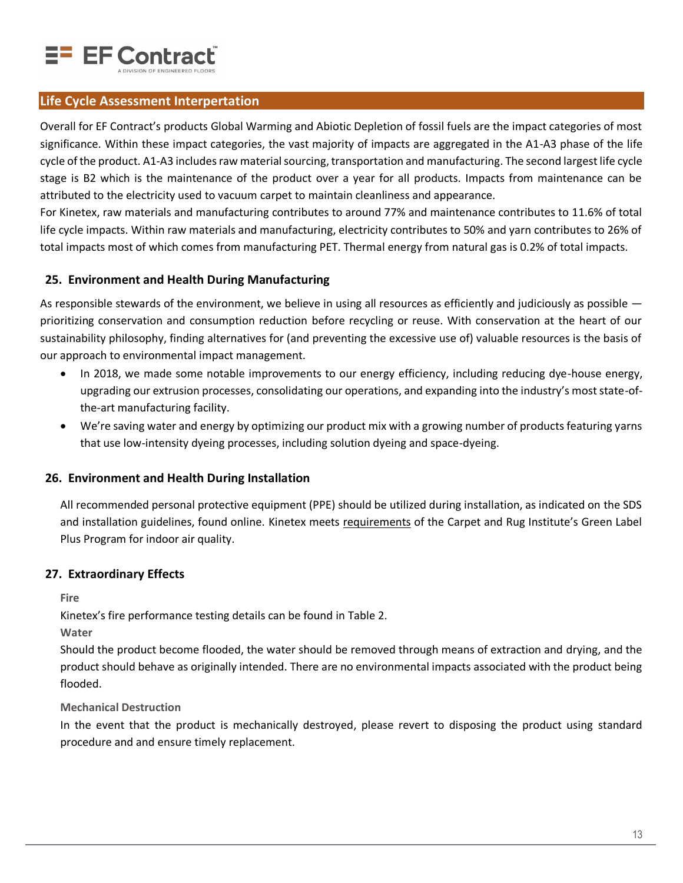

# **Life Cycle Assessment Interpertation**

Overall for EF Contract's products Global Warming and Abiotic Depletion of fossil fuels are the impact categories of most significance. Within these impact categories, the vast majority of impacts are aggregated in the A1-A3 phase of the life cycle of the product. A1-A3 includes raw material sourcing, transportation and manufacturing. The second largest life cycle stage is B2 which is the maintenance of the product over a year for all products. Impacts from maintenance can be attributed to the electricity used to vacuum carpet to maintain cleanliness and appearance.

For Kinetex, raw materials and manufacturing contributes to around 77% and maintenance contributes to 11.6% of total life cycle impacts. Within raw materials and manufacturing, electricity contributes to 50% and yarn contributes to 26% of total impacts most of which comes from manufacturing PET. Thermal energy from natural gas is 0.2% of total impacts.

#### **25. Environment and Health During Manufacturing**

As responsible stewards of the environment, we believe in using all resources as efficiently and judiciously as possible  $$ prioritizing conservation and consumption reduction before recycling or reuse. With conservation at the heart of our sustainability philosophy, finding alternatives for (and preventing the excessive use of) valuable resources is the basis of our approach to environmental impact management.

- In 2018, we made some notable improvements to our energy efficiency, including reducing dye-house energy, upgrading our extrusion processes, consolidating our operations, and expanding into the industry's most state-ofthe-art manufacturing facility.
- We're saving water and energy by optimizing our product mix with a growing number of products featuring yarns that use low-intensity dyeing processes, including solution dyeing and space-dyeing.

#### **26. Environment and Health During Installation**

All recommended personal protective equipment (PPE) should be utilized during installation, as indicated on the SDS and installation guidelines, found online. Kinetex meets [requirements](https://services.carpet-rug.org/api/GLPCertificate/2690) of the Carpet and Rug Institute's Green Label Plus Program for indoor air quality.

#### **27. Extraordinary Effects**

**Fire**

Kinetex's fire performance testing details can be found in [Table 2.](#page-2-0)

**Water**

Should the product become flooded, the water should be removed through means of extraction and drying, and the product should behave as originally intended. There are no environmental impacts associated with the product being flooded.

#### **Mechanical Destruction**

In the event that the product is mechanically destroyed, please revert to disposing the product using standard procedure and and ensure timely replacement.